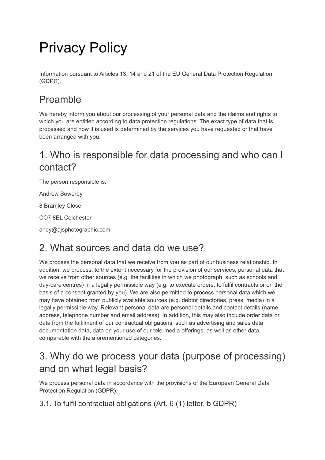# Privacy Policy

Information pursuant to Articles 13, 14 and 21 of the EU General Data Protection Regulation (GDPR).

### Preamble

We hereby inform you about our processing of your personal data and the claims and rights to which you are entitled according to data protection regulations. The exact type of data that is processed and how it is used is determined by the services you have requested or that have been arranged with you.

### 1. Who is responsible for data processing and who can I contact?

The person responsible is:

Andrew Sowerby

8 Bramley Close

CO7 8EL Colchester

andy@ajsphotographic.com

#### 2. What sources and data do we use?

We process the personal data that we receive from you as part of our business relationship. In addition, we process, to the extent necessary for the provision of our services, personal data that we receive from other sources (e.g. the facilities in which we photograph, such as schools and day-care centres) in a legally permissible way (e.g. to execute orders, to fulfil contracts or on the basis of a consent granted by you). We are also permitted to process personal data which we may have obtained from publicly available sources (e.g. debtor directories, press, media) in a legally permissible way. Relevant personal data are personal details and contact details (name, address, telephone number and email address). In addition, this may also include order data or data from the fulfilment of our contractual obligations, such as advertising and sales data, documentation data, data on your use of our tele-media offerings, as well as other data comparable with the aforementioned categories.

#### 3. Why do we process your data (purpose of processing) and on what legal basis?

We process personal data in accordance with the provisions of the European General Data Protection Regulation (GDPR).

3.1. To fulfil contractual obligations (Art. 6 (1) letter. b GDPR)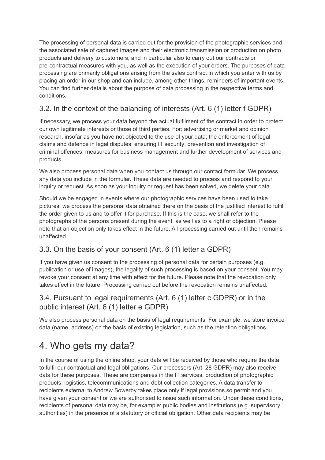The processing of personal data is carried out for the provision of the photographic services and the associated sale of captured images and their electronic transmission or production on photo products and delivery to customers, and in particular also to carry out our contracts or pre-contractual measures with you, as well as the execution of your orders. The purposes of data processing are primarily obligations arising from the sales contract in which you enter with us by placing an order in our shop and can include, among other things, reminders of important events. You can find further details about the purpose of data processing in the respective terms and conditions.

#### 3.2. In the context of the balancing of interests (Art. 6 (1) letter f GDPR)

If necessary, we process your data beyond the actual fulfilment of the contract in order to protect our own legitimate interests or those of third parties. For: advertising or market and opinion research, insofar as you have not objected to the use of your data; the enforcement of legal claims and defence in legal disputes; ensuring IT security; prevention and investigation of criminal offences; measures for business management and further development of services and products.

We also process personal data when you contact us through our contact formular. We process any data you include in the formular. These data are needed to process and respond to your inquiry or request. As soon as your inquiry or request has been solved, we delete your data.

Should we be engaged in events where our photographic services have been used to take pictures, we process the personal data obtained there on the basis of the justified interest to fulfil the order given to us and to offer it for purchase. If this is the case, we shall refer to the photographs of the persons present during the event, as well as to a right of objection. Please note that an objection only takes effect in the future. All processing carried out until then remains unaffected.

#### 3.3. On the basis of your consent (Art. 6 (1) letter a GDPR)

If you have given us consent to the processing of personal data for certain purposes (e.g. publication or use of images), the legality of such processing is based on your consent. You may revoke your consent at any time with effect for the future. Please note that the revocation only takes effect in the future. Processing carried out before the revocation remains unaffected.

#### 3.4. Pursuant to legal requirements (Art. 6 (1) letter c GDPR) or in the public interest (Art. 6 (1) letter e GDPR)

We also process personal data on the basis of legal requirements. For example, we store invoice data (name, address) on the basis of existing legislation, such as the retention obligations.

### 4. Who gets my data?

In the course of using the online shop, your data will be received by those who require the data to fulfil our contractual and legal obligations. Our processors (Art. 28 GDPR) may also receive data for these purposes. These are companies in the IT services, production of photographic products, logistics, telecommunications and debt collection categories. A data transfer to recipients external to Andrew Sowerby takes place only if legal provisions so permit and you have given your consent or we are authorised to issue such information. Under these conditions, recipients of personal data may be, for example: public bodies and institutions (e.g. supervisory authorities) in the presence of a statutory or official obligation. Other data recipients may be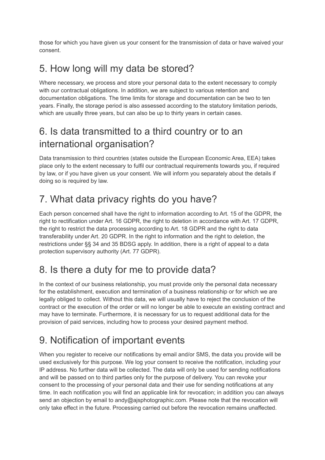those for which you have given us your consent for the transmission of data or have waived your consent.

### 5. How long will my data be stored?

Where necessary, we process and store your personal data to the extent necessary to comply with our contractual obligations. In addition, we are subject to various retention and documentation obligations. The time limits for storage and documentation can be two to ten years. Finally, the storage period is also assessed according to the statutory limitation periods, which are usually three years, but can also be up to thirty years in certain cases.

### 6. Is data transmitted to a third country or to an international organisation?

Data transmission to third countries (states outside the European Economic Area, EEA) takes place only to the extent necessary to fulfil our contractual requirements towards you, if required by law, or if you have given us your consent. We will inform you separately about the details if doing so is required by law.

# 7. What data privacy rights do you have?

Each person concerned shall have the right to information according to Art. 15 of the GDPR, the right to rectification under Art. 16 GDPR, the right to deletion in accordance with Art. 17 GDPR, the right to restrict the data processing according to Art. 18 GDPR and the right to data transferability under Art. 20 GDPR. In the right to information and the right to deletion, the restrictions under §§ 34 and 35 BDSG apply. In addition, there is a right of appeal to a data protection supervisory authority (Art. 77 GDPR).

### 8. Is there a duty for me to provide data?

In the context of our business relationship, you must provide only the personal data necessary for the establishment, execution and termination of a business relationship or for which we are legally obliged to collect. Without this data, we will usually have to reject the conclusion of the contract or the execution of the order or will no longer be able to execute an existing contract and may have to terminate. Furthermore, it is necessary for us to request additional data for the provision of paid services, including how to process your desired payment method.

## 9. Notification of important events

When you register to receive our notifications by email and/or SMS, the data you provide will be used exclusively for this purpose. We log your consent to receive the notification, including your IP address. No further data will be collected. The data will only be used for sending notifications and will be passed on to third parties only for the purpose of delivery. You can revoke your consent to the processing of your personal data and their use for sending notifications at any time. In each notification you will find an applicable link for revocation; in addition you can always send an objection by email to andy@ajsphotographic.com. Please note that the revocation will only take effect in the future. Processing carried out before the revocation remains unaffected.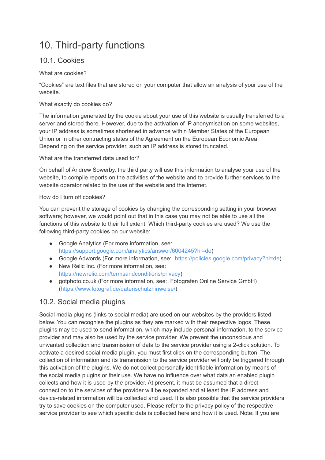### 10. Third-party functions

#### 10.1. Cookies

What are cookies?

"Cookies" are text files that are stored on your computer that allow an analysis of your use of the website.

#### What exactly do cookies do?

The information generated by the cookie about your use of this website is usually transferred to a server and stored there. However, due to the activation of IP anonymisation on some websites, your IP address is sometimes shortened in advance within Member States of the European Union or in other contracting states of the Agreement on the European Economic Area. Depending on the service provider, such an IP address is stored truncated.

What are the transferred data used for?

On behalf of Andrew Sowerby, the third party will use this information to analyse your use of the website, to compile reports on the activities of the website and to provide further services to the website operator related to the use of the website and the Internet.

#### How do I turn off cookies?

You can prevent the storage of cookies by changing the corresponding setting in your browser software; however, we would point out that in this case you may not be able to use all the functions of this website to their full extent. Which third-party cookies are used? We use the following third-party cookies on our website:

- Google Analytics (For more information, see: [https://support.google.com/analytics/answer/6004245?hl=de\)](https://support.google.com/analytics/answer/6004245?hl=de)
- Google Adwords (For more information, see: [https://policies.google.com/privacy?hl=de\)](https://policies.google.com/privacy?hl=de)
- New Relic Inc. (For more information, see: [https://newrelic.com/termsandconditions/privacy\)](https://newrelic.com/termsandconditions/privacy)
- gotphoto.co.uk (For more information, see: Fotografen Online Service GmbH) [\(https://www.fotograf.de/datenschutzhinweise/\)](https://www.gotphoto.co.uk/privacy/)

#### 10.2. Social media plugins

Social media plugins (links to social media) are used on our websites by the providers listed below. You can recognise the plugins as they are marked with their respective logos. These plugins may be used to send information, which may include personal information, to the service provider and may also be used by the service provider. We prevent the unconscious and unwanted collection and transmission of data to the service provider using a 2-click solution. To activate a desired social media plugin, you must first click on the corresponding button. The collection of information and its transmission to the service provider will only be triggered through this activation of the plugins. We do not collect personally identifiable information by means of the social media plugins or their use. We have no influence over what data an enabled plugin collects and how it is used by the provider. At present, it must be assumed that a direct connection to the services of the provider will be expanded and at least the IP address and device-related information will be collected and used. It is also possible that the service providers try to save cookies on the computer used. Please refer to the privacy policy of the respective service provider to see which specific data is collected here and how it is used. Note: If you are